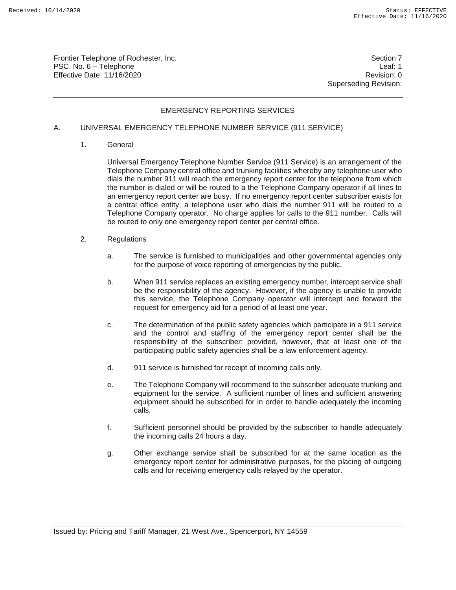Frontier Telephone of Rochester, Inc. Section 7 PSC. No. 6 – Telephone Leaf: 1 Effective Date: 11/16/2020 **Review Accounts** Effective Date: 0

Superseding Revision:

# EMERGENCY REPORTING SERVICES

#### A. UNIVERSAL EMERGENCY TELEPHONE NUMBER SERVICE (911 SERVICE)

1. General

Universal Emergency Telephone Number Service (911 Service) is an arrangement of the Telephone Company central office and trunking facilities whereby any telephone user who dials the number 911 will reach the emergency report center for the telephone from which the number is dialed or will be routed to a the Telephone Company operator if all lines to an emergency report center are busy. If no emergency report center subscriber exists for a central office entity, a telephone user who dials the number 911 will be routed to a Telephone Company operator. No charge applies for calls to the 911 number. Calls will be routed to only one emergency report center per central office.

- 2. Regulations
	- a. The service is furnished to municipalities and other governmental agencies only for the purpose of voice reporting of emergencies by the public.
	- b. When 911 service replaces an existing emergency number, intercept service shall be the responsibility of the agency. However, if the agency is unable to provide this service, the Telephone Company operator will intercept and forward the request for emergency aid for a period of at least one year.
	- c. The determination of the public safety agencies which participate in a 911 service and the control and staffing of the emergency report center shall be the responsibility of the subscriber; provided, however, that at least one of the participating public safety agencies shall be a law enforcement agency.
	- d. 911 service is furnished for receipt of incoming calls only.
	- e. The Telephone Company will recommend to the subscriber adequate trunking and equipment for the service. A sufficient number of lines and sufficient answering equipment should be subscribed for in order to handle adequately the incoming calls.
	- f. Sufficient personnel should be provided by the subscriber to handle adequately the incoming calls 24 hours a day.
	- g. Other exchange service shall be subscribed for at the same location as the emergency report center for administrative purposes, for the placing of outgoing calls and for receiving emergency calls relayed by the operator.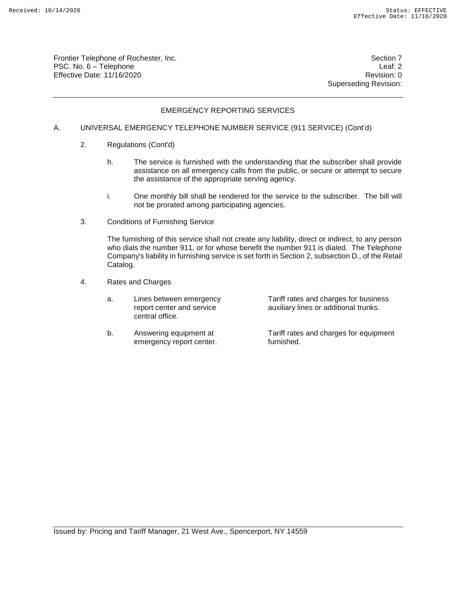Frontier Telephone of Rochester, Inc. Section 7 PSC. No. 6 – Telephone Leaf: 2 Effective Date: 11/16/2020 **Review Account 2018** Revision: 0

Superseding Revision:

## EMERGENCY REPORTING SERVICES

### A. UNIVERSAL EMERGENCY TELEPHONE NUMBER SERVICE (911 SERVICE) (Cont'd)

- 2. Regulations (Cont'd)
	- h. The service is furnished with the understanding that the subscriber shall provide assistance on all emergency calls from the public, or secure or attempt to secure the assistance of the appropriate serving agency.
	- i. One monthly bill shall be rendered for the service to the subscriber. The bill will not be prorated among participating agencies.
- 3. Conditions of Furnishing Service

The furnishing of this service shall not create any liability, direct or indirect, to any person who dials the number 911, or for whose benefit the number 911 is dialed. The Telephone Company's liability in furnishing service is set forth in Section 2, subsection D., of the Retail Catalog.

- 4. Rates and Charges
	- a. Lines between emergency Tariff rates and charges for business<br>report center and service auxiliary lines or additional trunks. central office.

auxiliary lines or additional trunks.

b. Answering equipment at Tariff rates and charges for equipment emergency report center. The furnished.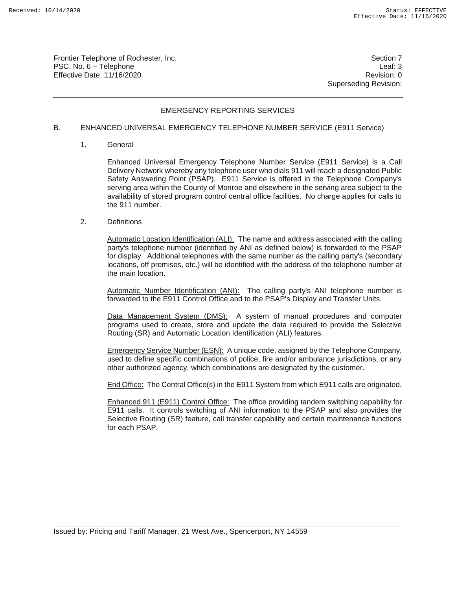Frontier Telephone of Rochester, Inc. Section 7 No. 3 and 7 No. 3 and 7 No. 3 and 7 No. 3 and 7 No. 3 and 7 No. 3 and 7 No. 3 and 7 No. 3 and 7 No. 3 and 7 No. 3 and 7 No. 3 and 7 No. 3 and 7 No. 3 and 7 No. 3 and 7 No. 3 PSC. No. 6 – Telephone Leaf: 3 Effective Date: 11/16/2020 **Review Accounts** Effective Date: 0

Superseding Revision:

# EMERGENCY REPORTING SERVICES

#### B. ENHANCED UNIVERSAL EMERGENCY TELEPHONE NUMBER SERVICE (E911 Service)

1. General

Enhanced Universal Emergency Telephone Number Service (E911 Service) is a Call Delivery Network whereby any telephone user who dials 911 will reach a designated Public Safety Answering Point (PSAP). E911 Service is offered in the Telephone Company's serving area within the County of Monroe and elsewhere in the serving area subject to the availability of stored program control central office facilities. No charge applies for calls to the 911 number.

2. Definitions

Automatic Location Identification (ALI): The name and address associated with the calling party's telephone number (identified by ANI as defined below) is forwarded to the PSAP for display. Additional telephones with the same number as the calling party's (secondary locations, off premises, etc.) will be identified with the address of the telephone number at the main location.

Automatic Number Identification (ANI): The calling party's ANI telephone number is forwarded to the E911 Control Office and to the PSAP's Display and Transfer Units.

Data Management System (DMS): A system of manual procedures and computer programs used to create, store and update the data required to provide the Selective Routing (SR) and Automatic Location Identification (ALI) features.

Emergency Service Number (ESN): A unique code, assigned by the Telephone Company, used to define specific combinations of police, fire and/or ambulance jurisdictions, or any other authorized agency, which combinations are designated by the customer.

End Office: The Central Office(s) in the E911 System from which E911 calls are originated.

Enhanced 911 (E911) Control Office: The office providing tandem switching capability for E911 calls. It controls switching of ANI information to the PSAP and also provides the Selective Routing (SR) feature, call transfer capability and certain maintenance functions for each PSAP.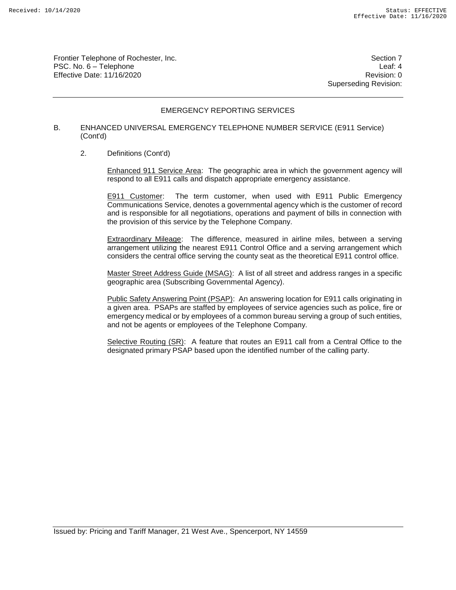Frontier Telephone of Rochester, Inc. Section 7 PSC. No. 6 – Telephone Leaf: 4 Effective Date: 11/16/2020 **Review Accounts** Effective Date: 0

Superseding Revision:

## EMERGENCY REPORTING SERVICES

#### B. ENHANCED UNIVERSAL EMERGENCY TELEPHONE NUMBER SERVICE (E911 Service) (Cont'd)

2. Definitions (Cont'd)

Enhanced 911 Service Area: The geographic area in which the government agency will respond to all E911 calls and dispatch appropriate emergency assistance.

E911 Customer: The term customer, when used with E911 Public Emergency Communications Service, denotes a governmental agency which is the customer of record and is responsible for all negotiations, operations and payment of bills in connection with the provision of this service by the Telephone Company.

Extraordinary Mileage: The difference, measured in airline miles, between a serving arrangement utilizing the nearest E911 Control Office and a serving arrangement which considers the central office serving the county seat as the theoretical E911 control office.

Master Street Address Guide (MSAG): A list of all street and address ranges in a specific geographic area (Subscribing Governmental Agency).

Public Safety Answering Point (PSAP): An answering location for E911 calls originating in a given area. PSAPs are staffed by employees of service agencies such as police, fire or emergency medical or by employees of a common bureau serving a group of such entities, and not be agents or employees of the Telephone Company.

Selective Routing (SR): A feature that routes an E911 call from a Central Office to the designated primary PSAP based upon the identified number of the calling party.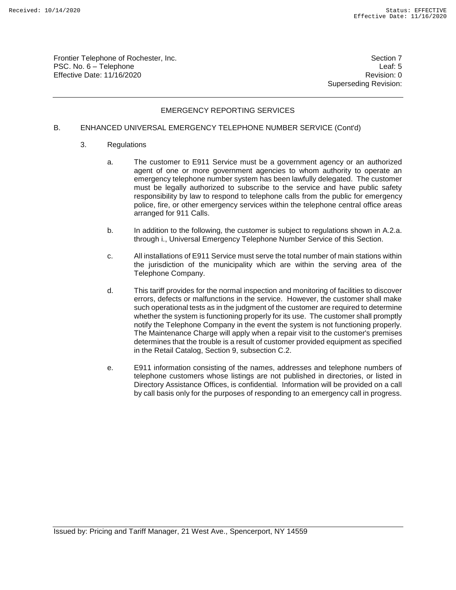Frontier Telephone of Rochester, Inc. Section 7 PSC. No. 6 – Telephone Leaf: 5 Effective Date: 11/16/2020 **Review Account 2018** Revision: 0

Superseding Revision:

# EMERGENCY REPORTING SERVICES

#### B. ENHANCED UNIVERSAL EMERGENCY TELEPHONE NUMBER SERVICE (Cont'd)

- 3. Regulations
	- a. The customer to E911 Service must be a government agency or an authorized agent of one or more government agencies to whom authority to operate an emergency telephone number system has been lawfully delegated. The customer must be legally authorized to subscribe to the service and have public safety responsibility by law to respond to telephone calls from the public for emergency police, fire, or other emergency services within the telephone central office areas arranged for 911 Calls.
	- b. In addition to the following, the customer is subject to regulations shown in A.2.a. through i., Universal Emergency Telephone Number Service of this Section.
	- c. All installations of E911 Service must serve the total number of main stations within the jurisdiction of the municipality which are within the serving area of the Telephone Company.
	- d. This tariff provides for the normal inspection and monitoring of facilities to discover errors, defects or malfunctions in the service. However, the customer shall make such operational tests as in the judgment of the customer are required to determine whether the system is functioning properly for its use. The customer shall promptly notify the Telephone Company in the event the system is not functioning properly. The Maintenance Charge will apply when a repair visit to the customer's premises determines that the trouble is a result of customer provided equipment as specified in the Retail Catalog, Section 9, subsection C.2.
	- e. E911 information consisting of the names, addresses and telephone numbers of telephone customers whose listings are not published in directories, or listed in Directory Assistance Offices, is confidential. Information will be provided on a call by call basis only for the purposes of responding to an emergency call in progress.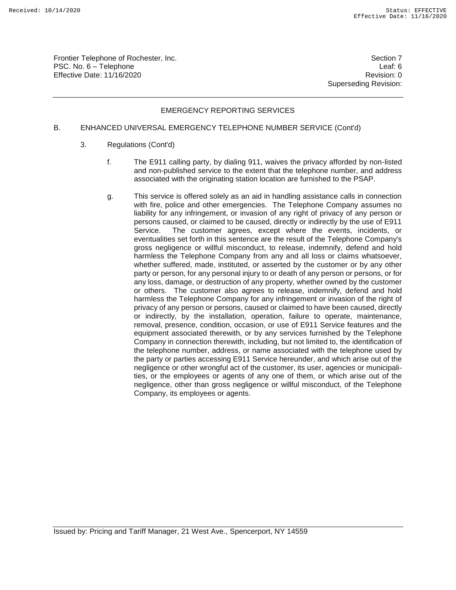Frontier Telephone of Rochester, Inc. Section 7 PSC. No. 6 – Telephone Leaf: 6 Effective Date: 11/16/2020 **Review Accounts** Effective Date: 0

Superseding Revision:

## EMERGENCY REPORTING SERVICES

### B. ENHANCED UNIVERSAL EMERGENCY TELEPHONE NUMBER SERVICE (Cont'd)

- 3. Regulations (Cont'd)
	- f. The E911 calling party, by dialing 911, waives the privacy afforded by non-listed and non-published service to the extent that the telephone number, and address associated with the originating station location are furnished to the PSAP.
	- g. This service is offered solely as an aid in handling assistance calls in connection with fire, police and other emergencies. The Telephone Company assumes no liability for any infringement, or invasion of any right of privacy of any person or persons caused, or claimed to be caused, directly or indirectly by the use of E911 Service. The customer agrees, except where the events, incidents, or eventualities set forth in this sentence are the result of the Telephone Company's gross negligence or willful misconduct, to release, indemnify, defend and hold harmless the Telephone Company from any and all loss or claims whatsoever, whether suffered, made, instituted, or asserted by the customer or by any other party or person, for any personal injury to or death of any person or persons, or for any loss, damage, or destruction of any property, whether owned by the customer or others. The customer also agrees to release, indemnify, defend and hold harmless the Telephone Company for any infringement or invasion of the right of privacy of any person or persons, caused or claimed to have been caused, directly or indirectly, by the installation, operation, failure to operate, maintenance, removal, presence, condition, occasion, or use of E911 Service features and the equipment associated therewith, or by any services furnished by the Telephone Company in connection therewith, including, but not limited to, the identification of the telephone number, address, or name associated with the telephone used by the party or parties accessing E911 Service hereunder, and which arise out of the negligence or other wrongful act of the customer, its user, agencies or municipalities, or the employees or agents of any one of them, or which arise out of the negligence, other than gross negligence or willful misconduct, of the Telephone Company, its employees or agents.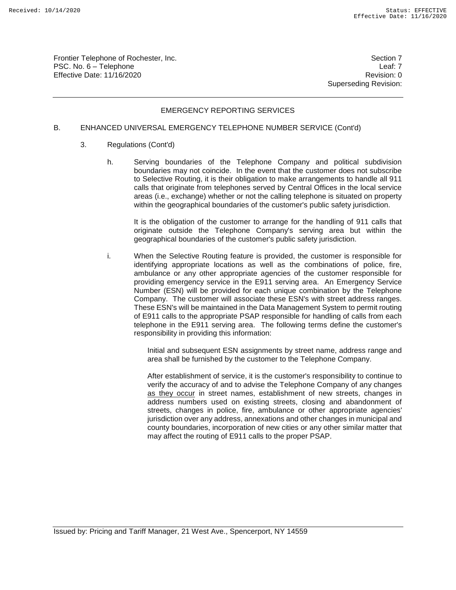Frontier Telephone of Rochester, Inc. Section 7 PSC. No. 6 – Telephone Leaf: 7 Effective Date: 11/16/2020 **Review Account 2018** Revision: 0

Superseding Revision:

## EMERGENCY REPORTING SERVICES

#### B. ENHANCED UNIVERSAL EMERGENCY TELEPHONE NUMBER SERVICE (Cont'd)

- 3. Regulations (Cont'd)
	- h. Serving boundaries of the Telephone Company and political subdivision boundaries may not coincide. In the event that the customer does not subscribe to Selective Routing, it is their obligation to make arrangements to handle all 911 calls that originate from telephones served by Central Offices in the local service areas (i.e., exchange) whether or not the calling telephone is situated on property within the geographical boundaries of the customer's public safety jurisdiction.

It is the obligation of the customer to arrange for the handling of 911 calls that originate outside the Telephone Company's serving area but within the geographical boundaries of the customer's public safety jurisdiction.

i. When the Selective Routing feature is provided, the customer is responsible for identifying appropriate locations as well as the combinations of police, fire, ambulance or any other appropriate agencies of the customer responsible for providing emergency service in the E911 serving area. An Emergency Service Number (ESN) will be provided for each unique combination by the Telephone Company. The customer will associate these ESN's with street address ranges. These ESN's will be maintained in the Data Management System to permit routing of E911 calls to the appropriate PSAP responsible for handling of calls from each telephone in the E911 serving area. The following terms define the customer's responsibility in providing this information:

> Initial and subsequent ESN assignments by street name, address range and area shall be furnished by the customer to the Telephone Company.

> After establishment of service, it is the customer's responsibility to continue to verify the accuracy of and to advise the Telephone Company of any changes as they occur in street names, establishment of new streets, changes in address numbers used on existing streets, closing and abandonment of streets, changes in police, fire, ambulance or other appropriate agencies' jurisdiction over any address, annexations and other changes in municipal and county boundaries, incorporation of new cities or any other similar matter that may affect the routing of E911 calls to the proper PSAP.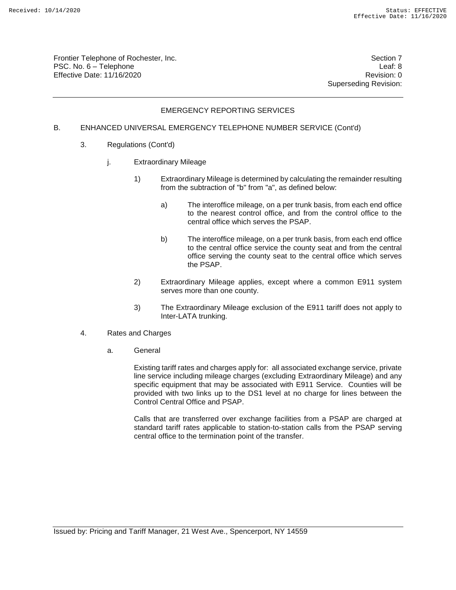Frontier Telephone of Rochester, Inc. Section 7 PSC. No. 6 – Telephone Leaf: 8 Effective Date: 11/16/2020 **Review Account 2018** Revision: 0

Superseding Revision:

# EMERGENCY REPORTING SERVICES

### B. ENHANCED UNIVERSAL EMERGENCY TELEPHONE NUMBER SERVICE (Cont'd)

- 3. Regulations (Cont'd)
	- j. Extraordinary Mileage
		- 1) Extraordinary Mileage is determined by calculating the remainder resulting from the subtraction of "b" from "a", as defined below:
			- a) The interoffice mileage, on a per trunk basis, from each end office to the nearest control office, and from the control office to the central office which serves the PSAP.
			- b) The interoffice mileage, on a per trunk basis, from each end office to the central office service the county seat and from the central office serving the county seat to the central office which serves the PSAP.
		- 2) Extraordinary Mileage applies, except where a common E911 system serves more than one county.
		- 3) The Extraordinary Mileage exclusion of the E911 tariff does not apply to Inter-LATA trunking.
- 4. Rates and Charges
	- a. General

Existing tariff rates and charges apply for: all associated exchange service, private line service including mileage charges (excluding Extraordinary Mileage) and any specific equipment that may be associated with E911 Service. Counties will be provided with two links up to the DS1 level at no charge for lines between the Control Central Office and PSAP.

Calls that are transferred over exchange facilities from a PSAP are charged at standard tariff rates applicable to station-to-station calls from the PSAP serving central office to the termination point of the transfer.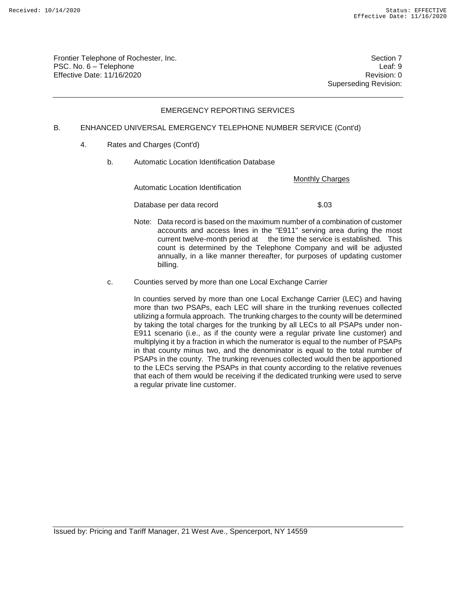Frontier Telephone of Rochester, Inc. Section 7 PSC. No. 6 – Telephone Leaf: 9 Effective Date: 11/16/2020 **Review Accounts** Effective Date: 0

Superseding Revision:

# EMERGENCY REPORTING SERVICES

### B. ENHANCED UNIVERSAL EMERGENCY TELEPHONE NUMBER SERVICE (Cont'd)

- 4. Rates and Charges (Cont'd)
	- b. Automatic Location Identification Database

Monthly Charges

Automatic Location Identification

Database per data record \$.03

- Note: Data record is based on the maximum number of a combination of customer accounts and access lines in the "E911" serving area during the most current twelve-month period at the time the service is established. This count is determined by the Telephone Company and will be adjusted annually, in a like manner thereafter, for purposes of updating customer billing.
- c. Counties served by more than one Local Exchange Carrier

In counties served by more than one Local Exchange Carrier (LEC) and having more than two PSAPs, each LEC will share in the trunking revenues collected utilizing a formula approach. The trunking charges to the county will be determined by taking the total charges for the trunking by all LECs to all PSAPs under non-E911 scenario (i.e., as if the county were a regular private line customer) and multiplying it by a fraction in which the numerator is equal to the number of PSAPs in that county minus two, and the denominator is equal to the total number of PSAPs in the county. The trunking revenues collected would then be apportioned to the LECs serving the PSAPs in that county according to the relative revenues that each of them would be receiving if the dedicated trunking were used to serve a regular private line customer.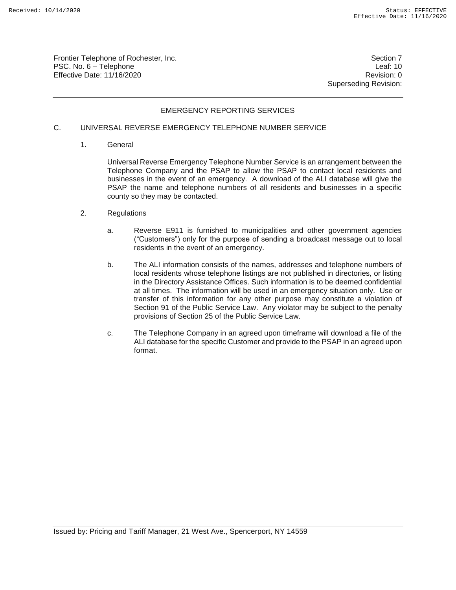Frontier Telephone of Rochester, Inc. Section 7 PSC. No. 6 – Telephone Leaf: 10 Effective Date: 11/16/2020 **Review Accounts** Effective Date: 0

Superseding Revision:

## EMERGENCY REPORTING SERVICES

# C. UNIVERSAL REVERSE EMERGENCY TELEPHONE NUMBER SERVICE

1. General

Universal Reverse Emergency Telephone Number Service is an arrangement between the Telephone Company and the PSAP to allow the PSAP to contact local residents and businesses in the event of an emergency. A download of the ALI database will give the PSAP the name and telephone numbers of all residents and businesses in a specific county so they may be contacted.

- 2. Regulations
	- a. Reverse E911 is furnished to municipalities and other government agencies ("Customers") only for the purpose of sending a broadcast message out to local residents in the event of an emergency.
	- b. The ALI information consists of the names, addresses and telephone numbers of local residents whose telephone listings are not published in directories, or listing in the Directory Assistance Offices. Such information is to be deemed confidential at all times. The information will be used in an emergency situation only. Use or transfer of this information for any other purpose may constitute a violation of Section 91 of the Public Service Law. Any violator may be subject to the penalty provisions of Section 25 of the Public Service Law.
	- c. The Telephone Company in an agreed upon timeframe will download a file of the ALI database for the specific Customer and provide to the PSAP in an agreed upon format.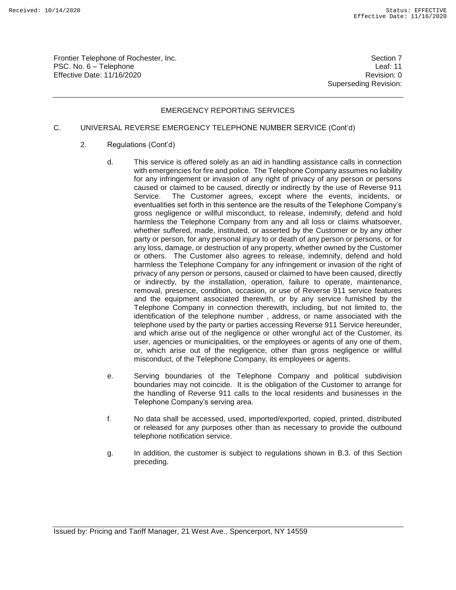Frontier Telephone of Rochester, Inc. Section 7 No. 3 and 7 No. 3 and 7 No. 3 and 7 No. 3 and 7 No. 3 and 7 No. 3 and 7 No. 3 and 7 No. 3 and 7 No. 3 and 7 No. 3 and 7 No. 3 and 7 No. 3 and 7 No. 3 and 7 No. 3 and 7 No. 3 PSC. No. 6 – Telephone Leaf: 11 Effective Date: 11/16/2020 **Review Accounts** Effective Date: 0

Superseding Revision:

# EMERGENCY REPORTING SERVICES

# C. UNIVERSAL REVERSE EMERGENCY TELEPHONE NUMBER SERVICE (Cont'd)

- 2. Regulations (Cont'd)
	- d. This service is offered solely as an aid in handling assistance calls in connection with emergencies for fire and police. The Telephone Company assumes no liability for any infringement or invasion of any right of privacy of any person or persons caused or claimed to be caused, directly or indirectly by the use of Reverse 911 Service. The Customer agrees, except where the events, incidents, or eventualities set forth in this sentence are the results of the Telephone Company's gross negligence or willful misconduct, to release, indemnify, defend and hold harmless the Telephone Company from any and all loss or claims whatsoever, whether suffered, made, instituted, or asserted by the Customer or by any other party or person, for any personal injury to or death of any person or persons, or for any loss, damage, or destruction of any property, whether owned by the Customer or others. The Customer also agrees to release, indemnify, defend and hold harmless the Telephone Company for any infringement or invasion of the right of privacy of any person or persons, caused or claimed to have been caused, directly or indirectly, by the installation, operation, failure to operate, maintenance, removal, presence, condition, occasion, or use of Reverse 911 service features and the equipment associated therewith, or by any service furnished by the Telephone Company in connection therewith, including, but not limited to, the identification of the telephone number , address, or name associated with the telephone used by the party or parties accessing Reverse 911 Service hereunder, and which arise out of the negligence or other wrongful act of the Customer, its user, agencies or municipalities, or the employees or agents of any one of them, or, which arise out of the negligence, other than gross negligence or willful misconduct, of the Telephone Company, its employees or agents.
	- e. Serving boundaries of the Telephone Company and political subdivision boundaries may not coincide. It is the obligation of the Customer to arrange for the handling of Reverse 911 calls to the local residents and businesses in the Telephone Company's serving area.
	- f. No data shall be accessed, used, imported/exported, copied, printed, distributed or released for any purposes other than as necessary to provide the outbound telephone notification service.
	- g. In addition, the customer is subject to regulations shown in B.3. of this Section preceding.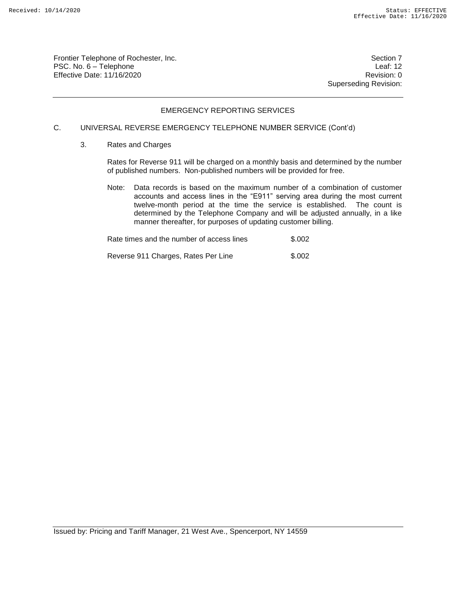Frontier Telephone of Rochester, Inc. Section 7 PSC. No. 6 – Telephone Leaf: 12 Effective Date: 11/16/2020 **Review Account 2018** Revision: 0

Superseding Revision:

## EMERGENCY REPORTING SERVICES

# C. UNIVERSAL REVERSE EMERGENCY TELEPHONE NUMBER SERVICE (Cont'd)

3. Rates and Charges

Rates for Reverse 911 will be charged on a monthly basis and determined by the number of published numbers. Non-published numbers will be provided for free.

Note: Data records is based on the maximum number of a combination of customer accounts and access lines in the "E911" serving area during the most current twelve-month period at the time the service is established. The count is determined by the Telephone Company and will be adjusted annually, in a like manner thereafter, for purposes of updating customer billing.

Rate times and the number of access lines  $$.002$ 

Reverse 911 Charges, Rates Per Line \$.002